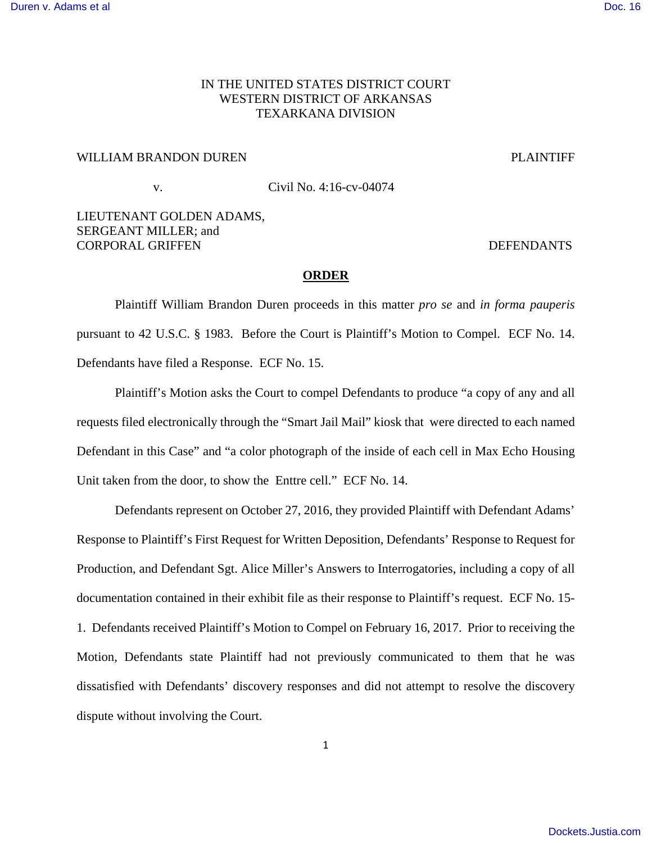## IN THE UNITED STATES DISTRICT COURT WESTERN DISTRICT OF ARKANSAS TEXARKANA DIVISION

## WILLIAM BRANDON DUREN PLAINTIFF

# v. Civil No. 4:16-cv-04074

## LIEUTENANT GOLDEN ADAMS, SERGEANT MILLER; and CORPORAL GRIFFEN DEFENDANTS

## **ORDER**

 Plaintiff William Brandon Duren proceeds in this matter *pro se* and *in forma pauperis*  pursuant to 42 U.S.C. § 1983. Before the Court is Plaintiff's Motion to Compel. ECF No. 14. Defendants have filed a Response. ECF No. 15.

 Plaintiff's Motion asks the Court to compel Defendants to produce "a copy of any and all requests filed electronically through the "Smart Jail Mail" kiosk that were directed to each named Defendant in this Case" and "a color photograph of the inside of each cell in Max Echo Housing Unit taken from the door, to show the Enttre cell." ECF No. 14.

Defendants represent on October 27, 2016, they provided Plaintiff with Defendant Adams' Response to Plaintiff's First Request for Written Deposition, Defendants' Response to Request for Production, and Defendant Sgt. Alice Miller's Answers to Interrogatories, including a copy of all documentation contained in their exhibit file as their response to Plaintiff's request. ECF No. 15- 1. Defendants received Plaintiff's Motion to Compel on February 16, 2017. Prior to receiving the Motion, Defendants state Plaintiff had not previously communicated to them that he was dissatisfied with Defendants' discovery responses and did not attempt to resolve the discovery dispute without involving the Court.